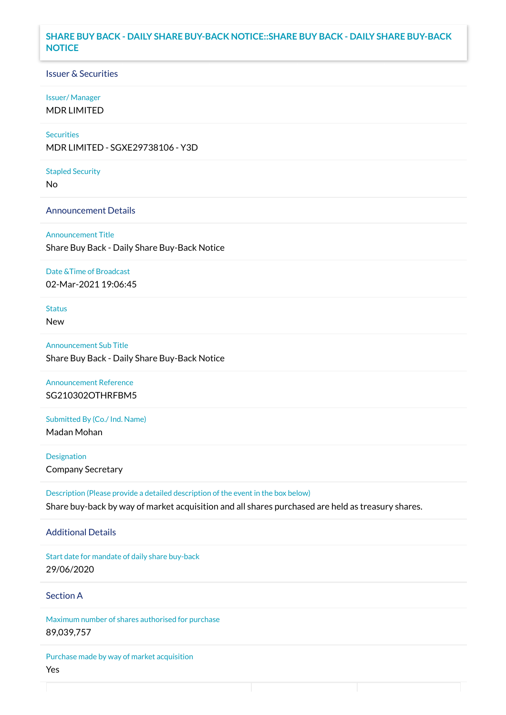## **SHARE BUY BACK - DAILY SHARE BUY-BACK NOTICE::SHARE BUY BACK - DAILY SHARE BUY-BACK NOTICE**

### Issuer & Securities

#### Issuer/ Manager

MDR LIMITED

## **Securities**

MDR LIMITED - SGXE29738106 - Y3D

#### Stapled Security

No

### Announcement Details

Announcement Title Share Buy Back - Daily Share Buy-Back Notice

#### Date &Time of Broadcast

02-Mar-2021 19:06:45

## Status

New

Announcement Sub Title Share Buy Back - Daily Share Buy-Back Notice

# Announcement Reference SG210302OTHRFBM5

Submitted By (Co./ Ind. Name)

Madan Mohan

**Designation** Company Secretary

Description (Please provide a detailed description of the event in the box below) Share buy-back by way of market acquisition and all shares purchased are held as treasury shares.

#### Additional Details

Start date for mandate of daily share buy-back 29/06/2020

# Section A

Maximum number of shares authorised for purchase 89,039,757

Purchase made by way of market acquisition Yes